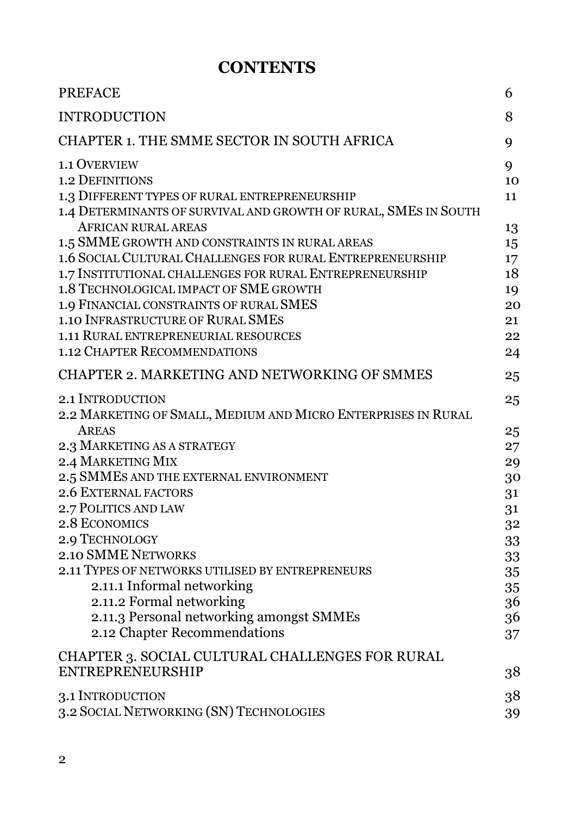## **CONTENTS**

| <b>PREFACE</b>                                                                                                                                                                                                                                                                                                                                                                                                                                                 | 6                                                        |
|----------------------------------------------------------------------------------------------------------------------------------------------------------------------------------------------------------------------------------------------------------------------------------------------------------------------------------------------------------------------------------------------------------------------------------------------------------------|----------------------------------------------------------|
| <b>INTRODUCTION</b>                                                                                                                                                                                                                                                                                                                                                                                                                                            | 8                                                        |
| CHAPTER 1. THE SMME SECTOR IN SOUTH AFRICA                                                                                                                                                                                                                                                                                                                                                                                                                     | 9                                                        |
| <b>1.1 OVERVIEW</b><br><b>1.2 DEFINITIONS</b><br>1.3 DIFFERENT TYPES OF RURAL ENTREPRENEURSHIP<br>1.4 DETERMINANTS OF SURVIVAL AND GROWTH OF RURAL, SMES IN SOUTH<br><b>AFRICAN RURAL AREAS</b><br>1.5 SMME GROWTH AND CONSTRAINTS IN RURAL AREAS<br>1.6 SOCIAL CULTURAL CHALLENGES FOR RURAL ENTREPRENEURSHIP<br>1.7 INSTITUTIONAL CHALLENGES FOR RURAL ENTREPRENEURSHIP<br>1.8 TECHNOLOGICAL IMPACT OF SME GROWTH<br>1.9 FINANCIAL CONSTRAINTS OF RURAL SMES | 9<br>10<br>11<br>13<br>15<br>17<br>18<br>19<br>20        |
| 1.10 INFRASTRUCTURE OF RURAL SMES<br>1.11 RURAL ENTREPRENEURIAL RESOURCES<br><b>1.12 CHAPTER RECOMMENDATIONS</b>                                                                                                                                                                                                                                                                                                                                               | 21<br>22<br>24                                           |
| CHAPTER 2. MARKETING AND NETWORKING OF SMMES                                                                                                                                                                                                                                                                                                                                                                                                                   | 25                                                       |
| 2.1 INTRODUCTION<br>2.2 MARKETING OF SMALL, MEDIUM AND MICRO ENTERPRISES IN RURAL<br>AREAS<br>2.3 MARKETING AS A STRATEGY                                                                                                                                                                                                                                                                                                                                      | 25<br>25                                                 |
| 2.4 MARKETING MIX<br>2.5 SMMES AND THE EXTERNAL ENVIRONMENT<br><b>2.6 EXTERNAL FACTORS</b><br>2.7 POLITICS AND LAW<br>2.8 ECONOMICS<br>2.9 TECHNOLOGY<br><b>2.10 SMME NETWORKS</b><br>2.11 TYPES OF NETWORKS UTILISED BY ENTREPRENEURS<br>2.11.1 Informal networking                                                                                                                                                                                           | 27<br>29<br>30<br>31<br>31<br>32<br>33<br>33<br>35<br>35 |
| 2.11.2 Formal networking<br>2.11.3 Personal networking amongst SMMEs<br>2.12 Chapter Recommendations<br>CHAPTER 3. SOCIAL CULTURAL CHALLENGES FOR RURAL<br><b>ENTREPRENEURSHIP</b>                                                                                                                                                                                                                                                                             | 36<br>36<br>37<br>38                                     |
| 3.1 INTRODUCTION<br>3.2 SOCIAL NETWORKING (SN) TECHNOLOGIES                                                                                                                                                                                                                                                                                                                                                                                                    | 38<br>39                                                 |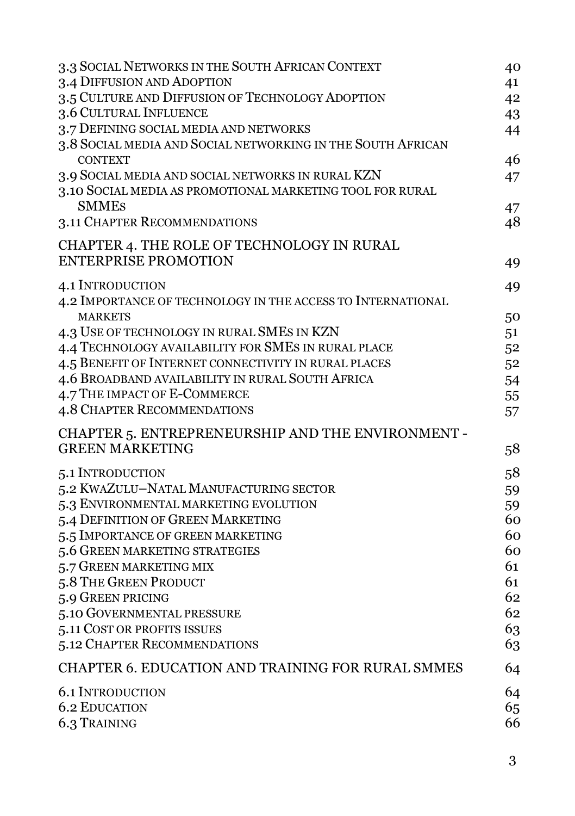| 3.3 SOCIAL NETWORKS IN THE SOUTH AFRICAN CONTEXT            | 40 |
|-------------------------------------------------------------|----|
| 3.4 DIFFUSION AND ADOPTION                                  | 41 |
| 3.5 CULTURE AND DIFFUSION OF TECHNOLOGY ADOPTION            | 42 |
| 3.6 CULTURAL INFLUENCE                                      | 43 |
| 3.7 DEFINING SOCIAL MEDIA AND NETWORKS                      | 44 |
| 3.8 SOCIAL MEDIA AND SOCIAL NETWORKING IN THE SOUTH AFRICAN |    |
| <b>CONTEXT</b>                                              | 46 |
| 3.9 SOCIAL MEDIA AND SOCIAL NETWORKS IN RURAL KZN           | 47 |
| 3.10 SOCIAL MEDIA AS PROMOTIONAL MARKETING TOOL FOR RURAL   |    |
| <b>SMMES</b>                                                | 47 |
| 3.11 CHAPTER RECOMMENDATIONS                                | 48 |
| CHAPTER 4. THE ROLE OF TECHNOLOGY IN RURAL                  |    |
| <b>ENTERPRISE PROMOTION</b>                                 | 49 |
| <b>4.1 INTRODUCTION</b>                                     | 49 |
| 4.2 IMPORTANCE OF TECHNOLOGY IN THE ACCESS TO INTERNATIONAL |    |
| <b>MARKETS</b>                                              | 50 |
| 4.3 USE OF TECHNOLOGY IN RURAL SMES IN KZN                  | 51 |
| 4.4 TECHNOLOGY AVAILABILITY FOR SMES IN RURAL PLACE         | 52 |
| 4.5 BENEFIT OF INTERNET CONNECTIVITY IN RURAL PLACES        | 52 |
| 4.6 BROADBAND AVAILABILITY IN RURAL SOUTH AFRICA            | 54 |
| 4.7 THE IMPACT OF E-COMMERCE                                | 55 |
| 4.8 CHAPTER RECOMMENDATIONS                                 | 57 |
| CHAPTER 5. ENTREPRENEURSHIP AND THE ENVIRONMENT -           |    |
| <b>GREEN MARKETING</b>                                      | 58 |
|                                                             |    |
| 5.1 INTRODUCTION                                            | 58 |
| 5.2 KWAZULU-NATAL MANUFACTURING SECTOR                      | 59 |
| 5.3 ENVIRONMENTAL MARKETING EVOLUTION                       | 59 |
| 5.4 DEFINITION OF GREEN MARKETING                           | 60 |
| 5.5 IMPORTANCE OF GREEN MARKETING                           | 60 |
| 5.6 GREEN MARKETING STRATEGIES                              | 60 |
| 5.7 GREEN MARKETING MIX                                     | 61 |
| 5.8 THE GREEN PRODUCT                                       | 61 |
| 5.9 GREEN PRICING                                           | 62 |
| 5.10 GOVERNMENTAL PRESSURE                                  | 62 |
| 5.11 COST OR PROFITS ISSUES                                 | 63 |
| 5.12 CHAPTER RECOMMENDATIONS                                | 63 |
| CHAPTER 6. EDUCATION AND TRAINING FOR RURAL SMMES           | 64 |
| <b>6.1 INTRODUCTION</b>                                     | 64 |
| <b>6.2 EDUCATION</b>                                        | 65 |
| 6.3 TRAINING                                                | 66 |
|                                                             |    |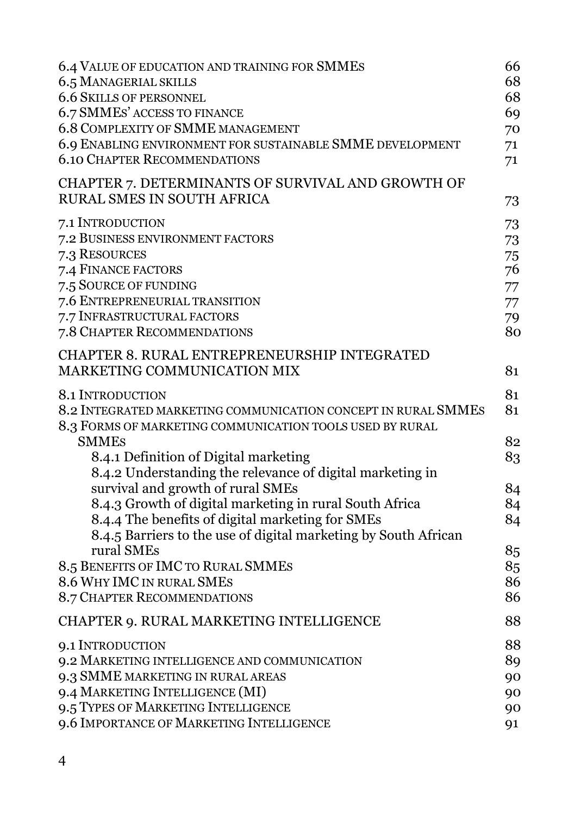| 6.4 VALUE OF EDUCATION AND TRAINING FOR SMMES<br>6.5 MANAGERIAL SKILLS<br><b>6.6 SKILLS OF PERSONNEL</b><br>6.7 SMMES' ACCESS TO FINANCE<br>6.8 COMPLEXITY OF SMME MANAGEMENT<br>6.9 ENABLING ENVIRONMENT FOR SUSTAINABLE SMME DEVELOPMENT<br><b>6.10 CHAPTER RECOMMENDATIONS</b> | 66<br>68<br>68<br>69<br>70<br>71<br>71       |
|-----------------------------------------------------------------------------------------------------------------------------------------------------------------------------------------------------------------------------------------------------------------------------------|----------------------------------------------|
| CHAPTER 7. DETERMINANTS OF SURVIVAL AND GROWTH OF<br>RURAL SMES IN SOUTH AFRICA                                                                                                                                                                                                   | 73                                           |
| 7.1 INTRODUCTION<br>7.2 BUSINESS ENVIRONMENT FACTORS<br>7.3 RESOURCES<br>7.4 FINANCE FACTORS<br>7.5 SOURCE OF FUNDING<br>7.6 ENTREPRENEURIAL TRANSITION<br>7.7 INFRASTRUCTURAL FACTORS<br>7.8 CHAPTER RECOMMENDATIONS                                                             | 73<br>73<br>75<br>76<br>77<br>77<br>79<br>80 |
| CHAPTER 8. RURAL ENTREPRENEURSHIP INTEGRATED<br>MARKETING COMMUNICATION MIX                                                                                                                                                                                                       | 81                                           |
| 8.1 INTRODUCTION<br>8.2 INTEGRATED MARKETING COMMUNICATION CONCEPT IN RURAL SMMES<br>8.3 FORMS OF MARKETING COMMUNICATION TOOLS USED BY RURAL                                                                                                                                     | 81<br>81                                     |
| <b>SMMES</b><br>8.4.1 Definition of Digital marketing<br>8.4.2 Understanding the relevance of digital marketing in<br>survival and growth of rural SMEs<br>8.4.3 Growth of digital marketing in rural South Africa<br>8.4.4 The benefits of digital marketing for SMEs            | 82<br>83<br>84<br>84<br>84                   |
| 8.4.5 Barriers to the use of digital marketing by South African<br>rural SMEs<br>8.5 BENEFITS OF IMC TO RURAL SMMES<br>8.6 WHY IMC IN RURAL SMES<br><b>8.7 CHAPTER RECOMMENDATIONS</b>                                                                                            | 85<br>85<br>86<br>86                         |
| CHAPTER 9. RURAL MARKETING INTELLIGENCE                                                                                                                                                                                                                                           | 88                                           |
| 9.1 INTRODUCTION<br>9.2 MARKETING INTELLIGENCE AND COMMUNICATION<br>9.3 SMME MARKETING IN RURAL AREAS<br>9.4 MARKETING INTELLIGENCE (MI)<br>9.5 TYPES OF MARKETING INTELLIGENCE<br>9.6 IMPORTANCE OF MARKETING INTELLIGENCE                                                       | 88<br>89<br>90<br>90<br>90<br>91             |